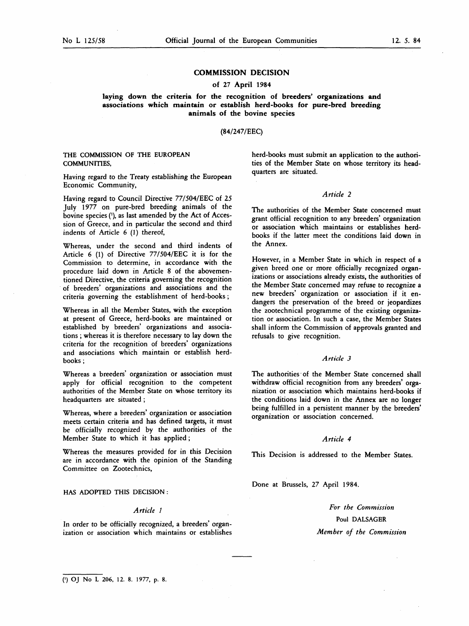# COMMISSION DECISION

# of 27 April 1984

laying down the criteria for the recognition of breeders' organizations and associations which maintain or establish herd-books for pure-bred breeding animals of the bovine species

### (84/247/EEC)

# THE COMMISSION OF THE EUROPEAN COMMUNITIES,

Having regard to the Treaty establishing the European Economic Community,

Having regard to Council Directive 77/504/EEC of 25 July 1977 on pure-bred breeding animals of the bovine species ('), as last amended by the Act of Accession of Greece, and in particular the second and third indents of Article  $6$  (1) thereof,

Whereas, under the second and third indents of Article 6 (1) of Directive 77/504/EEC it is for the Commission to determine, in accordance with the procedure laid down in Article 8 of the abovementioned Directive, the criteria governing the recognition of breeders' organizations and associations and the criteria governing the establishment of herd-books ;

Whereas in all the Member States, with the exception at present of Greece, herd-books are maintained or established by breeders' organizations and associations ; whereas it is therefore necessary to lay down the criteria for the recognition of breeders' organizations and associations which maintain or establish herdbooks ;

Whereas a breeders' organization or association must apply for official recognition to the competent authorities of the Member State on whose territory its headquarters are situated ;

Whereas, where a breeders' organization or association meets certain criteria and has defined targets, it must be officially recognized by the authorities of the Member State to which it has applied ;

Whereas the measures provided for in this Decision are in accordance with the opinion of the Standing Committee on Zootechnics,

### HAS ADOPTED THIS DECISION :

# Article <sup>1</sup>

In order to be officially recognized, a breeders' organization or association which maintains or establishes herd-books must submit an application to the authorities of the Member State on whose territory its headquarters are situated.

#### Article 2

The authorities of the Member State concerned must grant official recognition to any breeders' organization or association which maintains or establishes herdbooks if the latter meet the conditions laid down in the Annex.

However, in a Member State in which in respect of a given breed one or more officially recognized organizations or associations already exists, the authorities of the Member State concerned may refuse to recognize a new breeders' organization or association if it endangers the preservation of the breed or jeopardizes the zootechnical programme of the existing organization or association. In such a case, the Member States shall inform the Commission of approvals granted and refusals to give recognition.

### Article 3

The authorities of the Member State concerned shall withdraw official recognition from any breeders' organization or association which maintains herd-books if the conditions laid down in the Annex are no longer being fulfilled in a persistent manner by the breeders' organization or association concerned.

#### Article 4

This Decision is addressed to the Member States.

Done at Brussels, 27 April 1984.

For the Commission Poul DALSAGER Member of the Commission